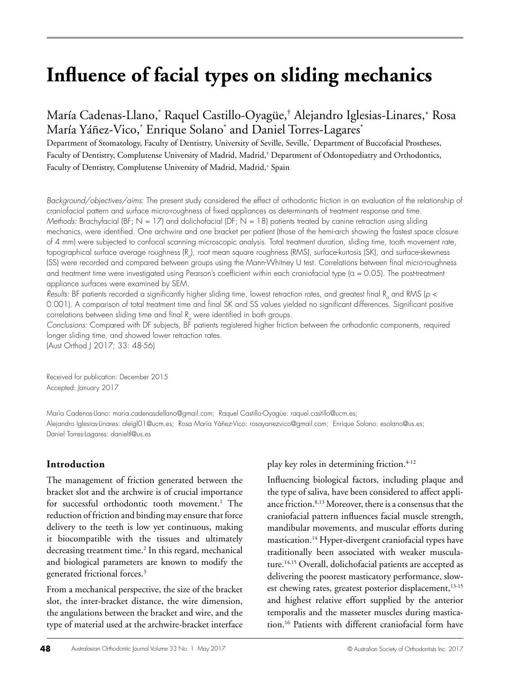# **Influence of facial types on sliding mechanics**

María Cadenas-Llano,\* Raquel Castillo-Oyagüe,† Alejandro Iglesias-Linares,+ Rosa María Yáñez-Vico,\* Enrique Solano\* and Daniel Torres-Lagares\*

Department of Stomatology, Faculty of Dentistry, University of Seville, Seville,\* Department of Buccofacial Prostheses, Faculty of Dentistry, Complutense University of Madrid, Madrid,† Department of Odontopediatry and Orthodontics, Faculty of Dentistry, Complutense University of Madrid, Madrid,+ Spain

*Background/objectives/aims*: The present study considered the effect of orthodontic friction in an evaluation of the relationship of craniofacial pattern and surface micro-roughness of fixed appliances as determinants of treatment response and time. *Methods:* Brachyfacial (BF; N *=* 17) and dolichofacial (DF; N *=* 18) patients treated by canine retraction using sliding mechanics, were identified. One archwire and one bracket per patient (those of the hemi-arch showing the fastest space closure of 4 mm) were subjected to confocal scanning microscopic analysis. Total treatment duration, sliding time, tooth movement rate, topographical surtace average roughness (R<sub>a</sub>), root mean square roughness (RMS), surtace-kurtosis (SK), and surtace-skewness (SS) were recorded and compared between groups using the Mann-Whitney U test. Correlations between final micro-roughness and treatment time were investigated using Pearson's coefficient within each craniofacial type (α *=* 0.05). The post-treatment appliance surfaces were examined by SEM.

kesults: BF patients recorded a signiticantly higher sliding time, lowest retraction rates, and greatest tinal R<sub>a</sub> and RMS (*p* < 0.001). A comparison of total treatment time and final SK and SS values yielded no significant differences. Significant positive correlations between sliding time and final  $\texttt{R}_{_{\textup{G}}}$  were identified in both groups.

*Conclusions:* Compared with DF subjects, BF patients registered higher friction between the orthodontic components, required longer sliding time, and showed lower retraction rates.

(Aust Orthod J 2017; 33: 48-56)

Received for publication: December 2015 Accepted: January 2017

María Cadenas-Llano: maria.cadenasdellano@gmail.com; Raquel Castillo-Oyagüe: raquel.castillo@ucm.es; Alejandro Iglesias-Linares: aleigl01@ucm.es; Rosa María Yáñez-Vico: rosayanezvico@gmail.com; Enrique Solano: esolano@us.es; Daniel Torres-Lagares: danieltl@us.es

#### **Introduction**

The management of friction generated between the bracket slot and the archwire is of crucial importance for successful orthodontic tooth movement.<sup>1</sup> The reduction of friction and binding may ensure that force delivery to the teeth is low yet continuous, making it biocompatible with the tissues and ultimately decreasing treatment time.<sup>2</sup> In this regard, mechanical and biological parameters are known to modify the generated frictional forces.3

From a mechanical perspective, the size of the bracket slot, the inter-bracket distance, the wire dimension, the angulations between the bracket and wire, and the type of material used at the archwire-bracket interface

play key roles in determining friction.<sup>4-12</sup>

Influencing biological factors, including plaque and the type of saliva, have been considered to affect appliance friction.<sup>8,13</sup> Moreover, there is a consensus that the craniofacial pattern influences facial muscle strength, mandibular movements, and muscular efforts during mastication.<sup>14</sup> Hyper-divergent craniofacial types have traditionally been associated with weaker musculature.<sup>14,15</sup> Overall, dolichofacial patients are accepted as delivering the poorest masticatory performance, slowest chewing rates, greatest posterior displacement,<sup>13-15</sup> and highest relative effort supplied by the anterior temporalis and the masseter muscles during mastication.16 Patients with different craniofacial form have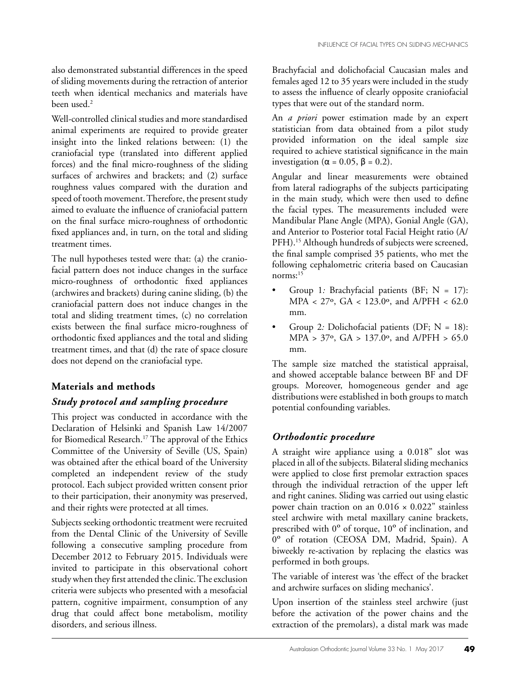also demonstrated substantial differences in the speed of sliding movements during the retraction of anterior teeth when identical mechanics and materials have been used.2

Well-controlled clinical studies and more standardised animal experiments are required to provide greater insight into the linked relations between: (1) the craniofacial type (translated into different applied forces) and the final micro-roughness of the sliding surfaces of archwires and brackets; and (2) surface roughness values compared with the duration and speed of tooth movement. Therefore, the present study aimed to evaluate the influence of craniofacial pattern on the final surface micro-roughness of orthodontic fixed appliances and, in turn, on the total and sliding treatment times.

The null hypotheses tested were that: (a) the craniofacial pattern does not induce changes in the surface micro-roughness of orthodontic fixed appliances (archwires and brackets) during canine sliding, (b) the craniofacial pattern does not induce changes in the total and sliding treatment times, (c) no correlation exists between the final surface micro-roughness of orthodontic fixed appliances and the total and sliding treatment times, and that (d) the rate of space closure does not depend on the craniofacial type.

# **Materials and methods**

## *Study protocol and sampling procedure*

This project was conducted in accordance with the Declaration of Helsinki and Spanish Law 14/2007 for Biomedical Research.<sup>17</sup> The approval of the Ethics Committee of the University of Seville (US, Spain) was obtained after the ethical board of the University completed an independent review of the study protocol. Each subject provided written consent prior to their participation, their anonymity was preserved, and their rights were protected at all times.

Subjects seeking orthodontic treatment were recruited from the Dental Clinic of the University of Seville following a consecutive sampling procedure from December 2012 to February 2015. Individuals were invited to participate in this observational cohort study when they first attended the clinic. The exclusion criteria were subjects who presented with a mesofacial pattern, cognitive impairment, consumption of any drug that could affect bone metabolism, motility disorders, and serious illness.

Brachyfacial and dolichofacial Caucasian males and females aged 12 to 35 years were included in the study to assess the influence of clearly opposite craniofacial types that were out of the standard norm.

An *a priori* power estimation made by an expert statistician from data obtained from a pilot study provided information on the ideal sample size required to achieve statistical significance in the main investigation ( $\alpha = 0.05$ ,  $\beta = 0.2$ ).

Angular and linear measurements were obtained from lateral radiographs of the subjects participating in the main study, which were then used to define the facial types. The measurements included were Mandibular Plane Angle (MPA), Gonial Angle (GA), and Anterior to Posterior total Facial Height ratio (A/ PFH).<sup>15</sup> Although hundreds of subjects were screened, the final sample comprised 35 patients, who met the following cephalometric criteria based on Caucasian norms:15

- Group 1*:* Brachyfacial patients (BF; N = 17): MPA < 27º, GA < 123.0º, and A/PFH < 62.0 mm.
- Group 2*:* Dolichofacial patients (DF; N = 18): MPA >  $37^{\circ}$ , GA >  $137.0^{\circ}$ , and A/PFH > 65.0 mm.

The sample size matched the statistical appraisal, and showed acceptable balance between BF and DF groups. Moreover, homogeneous gender and age distributions were established in both groups to match potential confounding variables.

# *Orthodontic procedure*

A straight wire appliance using a 0.018" slot was placed in all of the subjects. Bilateral sliding mechanics were applied to close first premolar extraction spaces through the individual retraction of the upper left and right canines. Sliding was carried out using elastic power chain traction on an  $0.016 \times 0.022$ " stainless steel archwire with metal maxillary canine brackets, prescribed with 0º of torque, 10º of inclination, and 0º of rotation (CEOSA DM, Madrid, Spain). A biweekly re-activation by replacing the elastics was performed in both groups.

The variable of interest was 'the effect of the bracket and archwire surfaces on sliding mechanics'.

Upon insertion of the stainless steel archwire (just before the activation of the power chains and the extraction of the premolars), a distal mark was made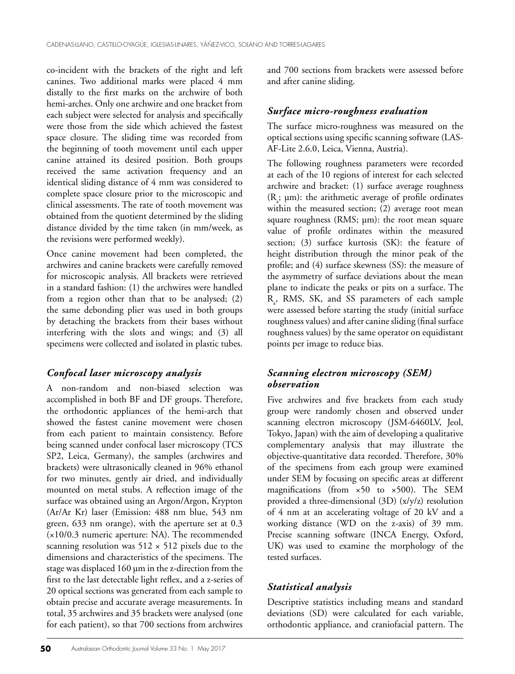co-incident with the brackets of the right and left canines. Two additional marks were placed 4 mm distally to the first marks on the archwire of both hemi-arches. Only one archwire and one bracket from each subject were selected for analysis and specifically were those from the side which achieved the fastest space closure. The sliding time was recorded from the beginning of tooth movement until each upper canine attained its desired position. Both groups received the same activation frequency and an identical sliding distance of 4 mm was considered to complete space closure prior to the microscopic and clinical assessments. The rate of tooth movement was obtained from the quotient determined by the sliding distance divided by the time taken (in mm/week, as the revisions were performed weekly).

Once canine movement had been completed, the archwires and canine brackets were carefully removed for microscopic analysis. All brackets were retrieved in a standard fashion: (1) the archwires were handled from a region other than that to be analysed; (2) the same debonding plier was used in both groups by detaching the brackets from their bases without interfering with the slots and wings; and (3) all specimens were collected and isolated in plastic tubes.

## *Confocal laser microscopy analysis*

A non-random and non-biased selection was accomplished in both BF and DF groups. Therefore, the orthodontic appliances of the hemi-arch that showed the fastest canine movement were chosen from each patient to maintain consistency. Before being scanned under confocal laser microscopy (TCS SP2, Leica, Germany), the samples (archwires and brackets) were ultrasonically cleaned in 96% ethanol for two minutes, gently air dried, and individually mounted on metal stubs. A reflection image of the surface was obtained using an Argon/Argon, Krypton (Ar/Ar Kr) laser (Emission: 488 nm blue, 543 nm green, 633 nm orange), with the aperture set at 0.3 (×10/0.3 numeric aperture: NA). The recommended scanning resolution was  $512 \times 512$  pixels due to the dimensions and characteristics of the specimens. The stage was displaced 160 µm in the z-direction from the first to the last detectable light reflex, and a z-series of 20 optical sections was generated from each sample to obtain precise and accurate average measurements. In total, 35 archwires and 35 brackets were analysed (one for each patient), so that 700 sections from archwires

and 700 sections from brackets were assessed before and after canine sliding.

## *Surface micro-roughness evaluation*

The surface micro-roughness was measured on the optical sections using specific scanning software (LAS-AF-Lite 2.6.0, Leica, Vienna, Austria).

The following roughness parameters were recorded at each of the 10 regions of interest for each selected archwire and bracket: (1) surface average roughness  $(R_a; \mu m)$ : the arithmetic average of profile ordinates within the measured section; (2) average root mean square roughness (RMS; µm): the root mean square value of profile ordinates within the measured section; (3) surface kurtosis (SK): the feature of height distribution through the minor peak of the profile; and (4) surface skewness (SS): the measure of the asymmetry of surface deviations about the mean plane to indicate the peaks or pits on a surface. The R<sub>a</sub>, RMS, SK, and SS parameters of each sample were assessed before starting the study (initial surface roughness values) and after canine sliding (final surface roughness values) by the same operator on equidistant points per image to reduce bias.

## *Scanning electron microscopy (SEM) observation*

Five archwires and five brackets from each study group were randomly chosen and observed under scanning electron microscopy (JSM-6460LV, Jeol, Tokyo, Japan) with the aim of developing a qualitative complementary analysis that may illustrate the objective-quantitative data recorded. Therefore, 30% of the specimens from each group were examined under SEM by focusing on specific areas at different magnifications (from  $\times 50$  to  $\times 500$ ). The SEM provided a three-dimensional (3D) (x/y/z) resolution of 4 nm at an accelerating voltage of 20 kV and a working distance (WD on the z-axis) of 39 mm. Precise scanning software (INCA Energy, Oxford, UK) was used to examine the morphology of the tested surfaces.

# *Statistical analysis*

Descriptive statistics including means and standard deviations (SD) were calculated for each variable, orthodontic appliance, and craniofacial pattern. The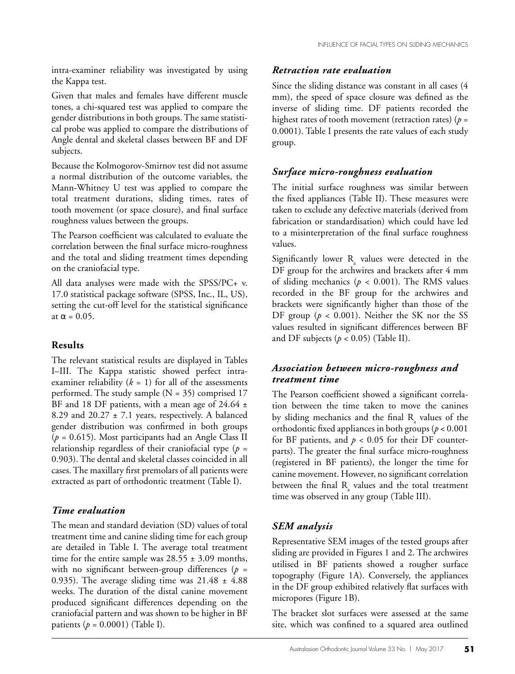intra-examiner reliability was investigated by using the Kappa test.

Given that males and females have different muscle tones, a chi-squared test was applied to compare the gender distributions in both groups. The same statistical probe was applied to compare the distributions of Angle dental and skeletal classes between BF and DF subjects.

Because the Kolmogorov-Smirnov test did not assume a normal distribution of the outcome variables, the Mann-Whitney U test was applied to compare the total treatment durations, sliding times, rates of tooth movement (or space closure), and final surface roughness values between the groups.

The Pearson coefficient was calculated to evaluate the correlation between the final surface micro-roughness and the total and sliding treatment times depending on the craniofacial type.

All data analyses were made with the SPSS/PC+ v. 17.0 statistical package software (SPSS, Inc., IL, US), setting the cut-off level for the statistical significance at  $\alpha = 0.05$ .

#### **Results**

The relevant statistical results are displayed in Tables I–III. The Kappa statistic showed perfect intraexaminer reliability  $(k = 1)$  for all of the assessments performed. The study sample  $(N = 35)$  comprised 17 BF and 18 DF patients, with a mean age of  $24.64 \pm$ 8.29 and  $20.27 \pm 7.1$  years, respectively. A balanced gender distribution was confirmed in both groups (*p* = 0.615). Most participants had an Angle Class II relationship regardless of their craniofacial type (*p* = 0.903). The dental and skeletal classes coincided in all cases. The maxillary first premolars of all patients were extracted as part of orthodontic treatment (Table I).

#### *Time evaluation*

The mean and standard deviation (SD) values of total treatment time and canine sliding time for each group are detailed in Table I. The average total treatment time for the entire sample was  $28.55 \pm 3.09$  months, with no significant between-group differences (*p* = 0.935). The average sliding time was  $21.48 \pm 4.88$ weeks. The duration of the distal canine movement produced significant differences depending on the craniofacial pattern and was shown to be higher in BF patients (*p* = 0.0001) (Table I).

## *Retraction rate evaluation*

Since the sliding distance was constant in all cases (4 mm), the speed of space closure was defined as the inverse of sliding time. DF patients recorded the highest rates of tooth movement (retraction rates) (*p* = 0.0001). Table I presents the rate values of each study group.

## *Surface micro-roughness evaluation*

The initial surface roughness was similar between the fixed appliances (Table II). These measures were taken to exclude any defective materials (derived from fabrication or standardisation) which could have led to a misinterpretation of the final surface roughness values.

Significantly lower  $R_{a}$  values were detected in the DF group for the archwires and brackets after 4 mm of sliding mechanics ( $p < 0.001$ ). The RMS values recorded in the BF group for the archwires and brackets were significantly higher than those of the DF group ( $p < 0.001$ ). Neither the SK nor the SS values resulted in significant differences between BF and DF subjects  $(p < 0.05)$  (Table II).

## *Association between micro-roughness and treatment time*

The Pearson coefficient showed a significant correlation between the time taken to move the canines by sliding mechanics and the final  $R_{a}$  values of the orthodontic fixed appliances in both groups (*p* < 0.001 for BF patients, and  $p < 0.05$  for their DF counterparts). The greater the final surface micro-roughness (registered in BF patients), the longer the time for canine movement. However, no significant correlation between the final  $R_{a}$  values and the total treatment time was observed in any group (Table III).

## *SEM analysis*

Representative SEM images of the tested groups after sliding are provided in Figures 1 and 2. The archwires utilised in BF patients showed a rougher surface topography (Figure 1A). Conversely, the appliances in the DF group exhibited relatively flat surfaces with micropores (Figure 1B).

The bracket slot surfaces were assessed at the same site, which was confined to a squared area outlined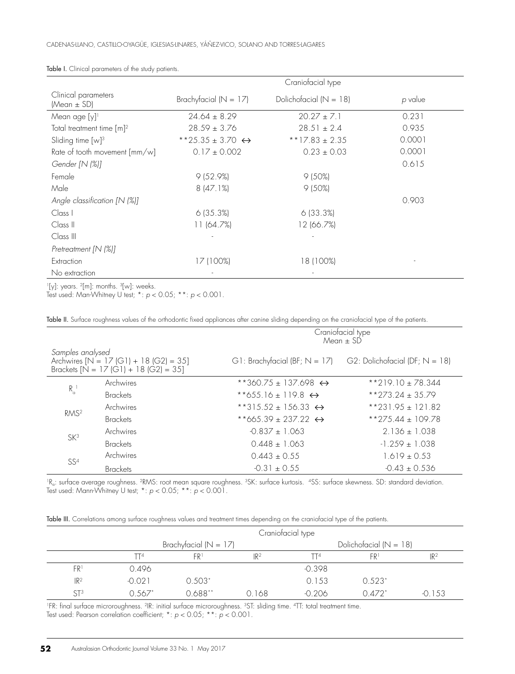|                                          | Craniofacial type                |                            |         |  |
|------------------------------------------|----------------------------------|----------------------------|---------|--|
| Clinical parameters<br>(Mean $\pm$ SD)   | Brachyfacial ( $N = 17$ )        | Dolichofacial ( $N = 18$ ) | p value |  |
| Mean age [y] <sup>1</sup>                | $24.64 \pm 8.29$                 | $20.27 \pm 7.1$            | 0.231   |  |
| Total treatment time $\lceil m \rceil^2$ | $28.59 \pm 3.76$                 | $28.51 \pm 2.4$            | 0.935   |  |
| Sliding time $[w]$ <sup>3</sup>          | **25.35 ± 3.70 $\leftrightarrow$ | **17.83 ± 2.35             | 0.0001  |  |
| Rate of tooth movement [mm/w]            | $0.17 \pm 0.002$                 | $0.23 \pm 0.03$            | 0.0001  |  |
| Gender [N (%)]                           |                                  |                            | 0.615   |  |
| Female                                   | 9(52.9%)                         | $9(50\%)$                  |         |  |
| Male                                     | 8(47.1%)                         | $9(50\%)$                  |         |  |
| Angle classification [N (%)]             |                                  |                            | 0.903   |  |
| Class I                                  | 6(35.3%)                         | 6(33.3%)                   |         |  |
| Class II                                 | 11 (64.7%)                       | 12 (66.7%)                 |         |  |
| Class III                                |                                  |                            |         |  |
| Pretreatment [N (%)]                     |                                  |                            |         |  |
| Extraction                               | 17 (100%)                        | 18 (100%)                  |         |  |
| No extraction                            |                                  |                            |         |  |

Table I. Clinical parameters of the study patients.

 $[y]$ : years.  $[2m]$ : months.  $[3w]$ : weeks.

Test used: Man-Whitney U test; \*: *p* < 0.05; \*\*: *p* < 0.001.

Table II. Surface roughness values of the orthodontic fixed appliances after canine sliding depending on the craniofacial type of the patients.

|                                                                                                        |                 | Craniofacial type<br>$Mean \pm SD$                                 |                      |  |
|--------------------------------------------------------------------------------------------------------|-----------------|--------------------------------------------------------------------|----------------------|--|
| Samples analysed<br>Archwires $[N = 17  G1] + 18  G2  = 35$<br>Brackets $[N = 17 (G1) + 18 (G2) = 35]$ |                 | G1: Brachyfacial (BF; $N = 17$ ) G2: Dolichofacial (DF; $N = 18$ ) |                      |  |
| $R_{\alpha}$                                                                                           | Archwires       | **360.75 ± 137.698 $\leftrightarrow$                               | $*219.10 \pm 78.344$ |  |
|                                                                                                        | <b>Brackets</b> | **655.16 ± 119.8 $\leftrightarrow$                                 | $*$ *273.24 ± 35.79  |  |
| RMS <sup>2</sup>                                                                                       | Archwires       | **315.52 ± 156.33 $\leftrightarrow$                                | $*231.95 \pm 121.82$ |  |
|                                                                                                        | <b>Brackets</b> | **665.39 + 237.22 $\leftrightarrow$                                | **275.44 ± 109.78    |  |
| SK <sup>3</sup>                                                                                        | Archwires       | $-0.837 + 1.063$                                                   | $2.136 \pm 1.038$    |  |
|                                                                                                        | <b>Brackets</b> | $0.448 \pm 1.063$                                                  | $-1.259 + 1.038$     |  |
| SS <sup>4</sup>                                                                                        | Archwires       | $0.443 \pm 0.55$                                                   | $1.619 \pm 0.53$     |  |
|                                                                                                        | <b>Brackets</b> | $-0.31 \pm 0.55$                                                   | $-0.43 \pm 0.536$    |  |

<sup>1</sup>R<sub>a</sub>: surface average roughness. <sup>2</sup>RMS: root mean square roughness. <sup>3</sup>SK: surface kurtosis. 4SS: surface skewness. SD: standard deviation. Test used: Mann-Whitney U test; \*: *p* < 0.05; \*\*: *p* < 0.001.

|  |  |  |  | Table III. Correlations amona surface roughness values and treatment times depending on the craniofacial type of the patients. |
|--|--|--|--|--------------------------------------------------------------------------------------------------------------------------------|
|--|--|--|--|--------------------------------------------------------------------------------------------------------------------------------|

|                 | Craniofacial type         |           |                 |                            |                      |                 |
|-----------------|---------------------------|-----------|-----------------|----------------------------|----------------------|-----------------|
|                 | Brachyfacial ( $N = 17$ ) |           |                 | Dolichofacial ( $N = 18$ ) |                      |                 |
|                 | TT <sup>4</sup>           | FR1       | IR <sup>2</sup> | TT4                        | FRI                  | IR <sup>2</sup> |
| FR'             | 0.496                     |           |                 | $-0.398$                   |                      |                 |
| IR <sup>2</sup> | $-0.021$                  | $0.503*$  |                 | 0.153                      | $0.523*$             |                 |
| ST <sup>3</sup> | 0.567*                    | $0.688**$ | 0.168           | $-0.206$                   | $0.472$ <sup>*</sup> | $-0.153$        |

1FR: final surface microroughness. 2IR: initial surface microroughness. 3ST: sliding time. 4TT: total treatment time. Test used: Pearson correlation coefficient; \*: *p* < 0.05; \*\*: *p* < 0.001.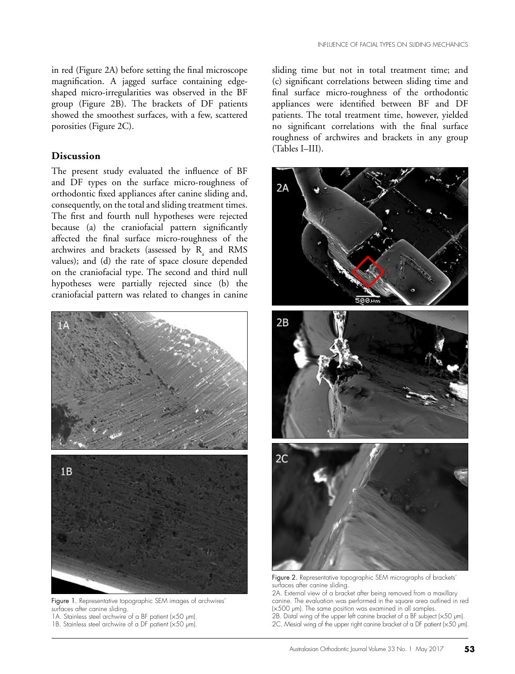in red (Figure 2A) before setting the final microscope magnification. A jagged surface containing edgeshaped micro-irregularities was observed in the BF group (Figure 2B). The brackets of DF patients showed the smoothest surfaces, with a few, scattered porosities (Figure 2C).

#### **Discussion**

The present study evaluated the influence of BF and DF types on the surface micro-roughness of orthodontic fixed appliances after canine sliding and, consequently, on the total and sliding treatment times. The first and fourth null hypotheses were rejected because (a) the craniofacial pattern significantly affected the final surface micro-roughness of the archwires and brackets (assessed by  $R_{a}$  and RMS values); and (d) the rate of space closure depended on the craniofacial type. The second and third null hypotheses were partially rejected since (b) the craniofacial pattern was related to changes in canine



Figure 1. Representative topographic SEM images of archwires' surfaces after canine sliding. 1A. Stainless steel archwire of a BF patient (×50 *µ*m).

1B. Stainless steel archwire of a DF patient (×50 *µ*m).

sliding time but not in total treatment time; and (c) significant correlations between sliding time and final surface micro-roughness of the orthodontic appliances were identified between BF and DF patients. The total treatment time, however, yielded no significant correlations with the final surface roughness of archwires and brackets in any group (Tables I–III).



Figure 2. Representative topographic SEM micrographs of brackets' surfaces after canine sliding.

2A. External view of a bracket after being removed from a maxillary canine. The evaluation was performed in the square area outlined in red (×500 *µ*m). The same position was examined in all samples. 2B. Distal wing of the upper left canine bracket of a BF subject (×50 *µ*m). 2C. Mesial wing of the upper right canine bracket of a DF patient (×50 *µ*m).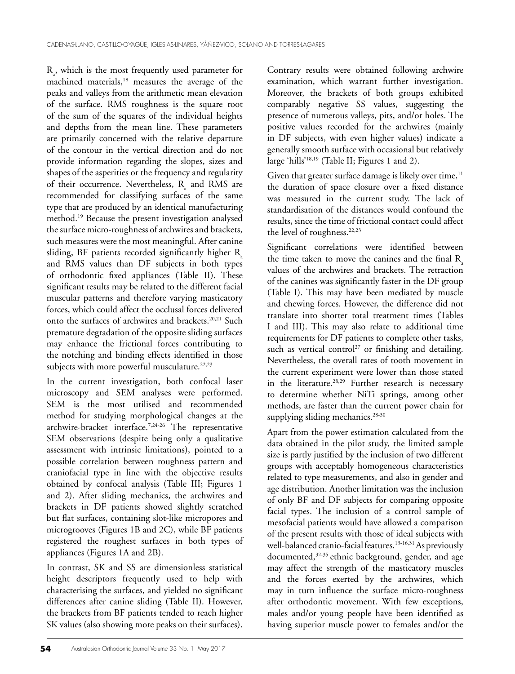$R_a$ , which is the most frequently used parameter for machined materials,<sup>18</sup> measures the average of the peaks and valleys from the arithmetic mean elevation of the surface. RMS roughness is the square root of the sum of the squares of the individual heights and depths from the mean line. These parameters are primarily concerned with the relative departure of the contour in the vertical direction and do not provide information regarding the slopes, sizes and shapes of the asperities or the frequency and regularity of their occurrence. Nevertheless,  $R_{a}$  and RMS are recommended for classifying surfaces of the same type that are produced by an identical manufacturing method.19 Because the present investigation analysed the surface micro-roughness of archwires and brackets, such measures were the most meaningful. After canine sliding, BF patients recorded significantly higher  $R$ and RMS values than DF subjects in both types of orthodontic fixed appliances (Table II). These significant results may be related to the different facial muscular patterns and therefore varying masticatory forces, which could affect the occlusal forces delivered onto the surfaces of archwires and brackets.<sup>20,21</sup> Such premature degradation of the opposite sliding surfaces may enhance the frictional forces contributing to the notching and binding effects identified in those subjects with more powerful musculature.<sup>22,23</sup>

In the current investigation, both confocal laser microscopy and SEM analyses were performed. SEM is the most utilised and recommended method for studying morphological changes at the archwire-bracket interface.7,24-26 The representative SEM observations (despite being only a qualitative assessment with intrinsic limitations), pointed to a possible correlation between roughness pattern and craniofacial type in line with the objective results obtained by confocal analysis (Table III; Figures 1 and 2). After sliding mechanics, the archwires and brackets in DF patients showed slightly scratched but flat surfaces, containing slot-like micropores and microgrooves (Figures 1B and 2C), while BF patients registered the roughest surfaces in both types of appliances (Figures 1A and 2B).

In contrast, SK and SS are dimensionless statistical height descriptors frequently used to help with characterising the surfaces, and yielded no significant differences after canine sliding (Table II). However, the brackets from BF patients tended to reach higher SK values (also showing more peaks on their surfaces).

Contrary results were obtained following archwire examination, which warrant further investigation. Moreover, the brackets of both groups exhibited comparably negative SS values, suggesting the presence of numerous valleys, pits, and/or holes. The positive values recorded for the archwires (mainly in DF subjects, with even higher values) indicate a generally smooth surface with occasional but relatively large 'hills'18,19 (Table II; Figures 1 and 2).

Given that greater surface damage is likely over time,<sup>11</sup> the duration of space closure over a fixed distance was measured in the current study. The lack of standardisation of the distances would confound the results, since the time of frictional contact could affect the level of roughness.<sup>22,23</sup>

Significant correlations were identified between the time taken to move the canines and the final  $R_1$ values of the archwires and brackets. The retraction of the canines was significantly faster in the DF group (Table I). This may have been mediated by muscle and chewing forces. However, the difference did not translate into shorter total treatment times (Tables I and III). This may also relate to additional time requirements for DF patients to complete other tasks, such as vertical control<sup>27</sup> or finishing and detailing. Nevertheless, the overall rates of tooth movement in the current experiment were lower than those stated in the literature.<sup>28,29</sup> Further research is necessary to determine whether NiTi springs, among other methods, are faster than the current power chain for supplying sliding mechanics.<sup>28-30</sup>

Apart from the power estimation calculated from the data obtained in the pilot study, the limited sample size is partly justified by the inclusion of two different groups with acceptably homogeneous characteristics related to type measurements, and also in gender and age distribution. Another limitation was the inclusion of only BF and DF subjects for comparing opposite facial types. The inclusion of a control sample of mesofacial patients would have allowed a comparison of the present results with those of ideal subjects with well-balanced cranio-facial features.<sup>13-16,31</sup> As previously documented,<sup>32-35</sup> ethnic background, gender, and age may affect the strength of the masticatory muscles and the forces exerted by the archwires, which may in turn influence the surface micro-roughness after orthodontic movement. With few exceptions, males and/or young people have been identified as having superior muscle power to females and/or the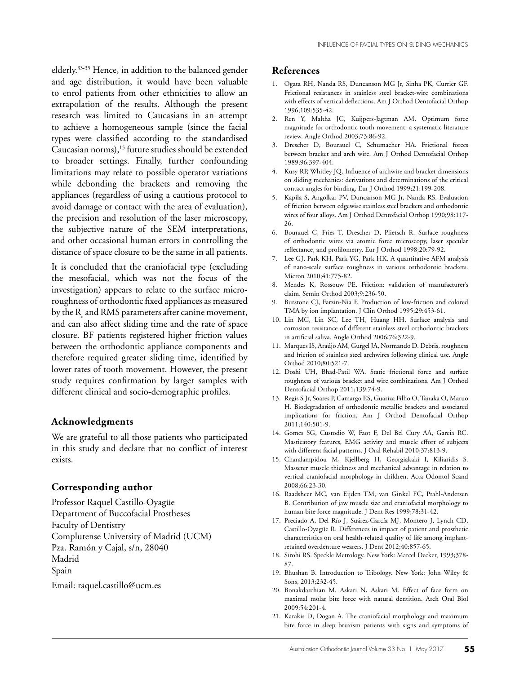elderly.33-35 Hence, in addition to the balanced gender and age distribution, it would have been valuable to enrol patients from other ethnicities to allow an extrapolation of the results. Although the present research was limited to Caucasians in an attempt to achieve a homogeneous sample (since the facial types were classified according to the standardised Caucasian norms),<sup>15</sup> future studies should be extended to broader settings. Finally, further confounding limitations may relate to possible operator variations while debonding the brackets and removing the appliances (regardless of using a cautious protocol to avoid damage or contact with the area of evaluation), the precision and resolution of the laser microscopy, the subjective nature of the SEM interpretations, and other occasional human errors in controlling the distance of space closure to be the same in all patients.

It is concluded that the craniofacial type (excluding the mesofacial, which was not the focus of the investigation) appears to relate to the surface microroughness of orthodontic fixed appliances as measured by the  $R_{\text{a}}$  and RMS parameters after canine movement, and can also affect sliding time and the rate of space closure. BF patients registered higher friction values between the orthodontic appliance components and therefore required greater sliding time, identified by lower rates of tooth movement. However, the present study requires confirmation by larger samples with different clinical and socio-demographic profiles.

#### **Acknowledgments**

We are grateful to all those patients who participated in this study and declare that no conflict of interest exists.

#### **Corresponding author**

Professor Raquel Castillo-Oyagüe Department of Buccofacial Prostheses Faculty of Dentistry Complutense University of Madrid (UCM) Pza. Ramón y Cajal, s/n, 28040 Madrid Spain Email: raquel.castillo@ucm.es

#### **References**

- 1. Ogata RH, Nanda RS, Duncanson MG Jr, Sinha PK, Currier GF. Frictional resistances in stainless steel bracket-wire combinations with effects of vertical deflections. Am J Orthod Dentofacial Orthop 1996;109:535-42.
- 2. Ren Y, Maltha JC, Kuijpers-Jagtman AM. Optimum force magnitude for orthodontic tooth movement: a systematic literature review. Angle Orthod 2003;73:86-92.
- 3. Drescher D, Bourauel C, Schumacher HA. Frictional forces between bracket and arch wire. Am J Orthod Dentofacial Orthop 1989;96:397-404.
- 4. Kusy RP, Whitley JQ. Influence of archwire and bracket dimensions on sliding mechanics: derivations and determinations of the critical contact angles for binding. Eur J Orthod 1999;21:199-208.
- 5. Kapila S, Angolkar PV, Duncanson MG Jr, Nanda RS. Evaluation of friction between edgewise stainless steel brackets and orthodontic wires of four alloys. Am J Orthod Dentofacial Orthop 1990;98:117- 26.
- 6. Bourauel C, Fries T, Drescher D, Plietsch R. Surface roughness of orthodontic wires via atomic force microscopy, laser specular reflectance, and profilometry. Eur J Orthod 1998;20:79-92.
- 7. Lee GJ, Park KH, Park YG, Park HK. A quantitative AFM analysis of nano-scale surface roughness in various orthodontic brackets. Micron 2010;41:775-82.
- 8. Mendes K, Rossouw PE. Friction: validation of manufacturer's claim. Semin Orthod 2003;9:236-50.
- 9. Burstone CJ, Farzin-Nia F. Production of low-friction and colored TMA by ion implantation. J Clin Orthod 1995;29:453-61.
- 10. Lin MC, Lin SC, Lee TH, Huang HH. Surface analysis and corrosion resistance of different stainless steel orthodontic brackets in artificial saliva. Angle Orthod 2006;76:322-9.
- 11. Marques IS, Araújo AM, Gurgel JA, Normando D. Debris, roughness and friction of stainless steel archwires following clinical use. Angle Orthod 2010;80:521-7.
- 12. Doshi UH, Bhad-Patil WA. Static frictional force and surface roughness of various bracket and wire combinations. Am J Orthod Dentofacial Orthop 2011;139:74-9.
- 13. Regis S Jr, Soares P, Camargo ES, Guariza Filho O, Tanaka O, Maruo H. Biodegradation of orthodontic metallic brackets and associated implications for friction. Am J Orthod Dentofacial Orthop 2011;140:501-9.
- 14. Gomes SG, Custodio W, Faot F, Del Bel Cury AA, Garcia RC. Masticatory features, EMG activity and muscle effort of subjects with different facial patterns. J Oral Rehabil 2010;37:813-9.
- 15. Charalampidou M, Kjellberg H, Georgiakaki I, Kiliaridis S. Masseter muscle thickness and mechanical advantage in relation to vertical craniofacial morphology in children. Acta Odontol Scand 2008;66:23-30.
- 16. Raadsheer MC, van Eijden TM, van Ginkel FC, Prahl-Andersen B. Contribution of jaw muscle size and craniofacial morphology to human bite force magnitude. J Dent Res 1999;78:31-42.
- 17. Preciado A, Del Río J, Suárez-García MJ, Montero J, Lynch CD, Castillo-Oyagüe R. Differences in impact of patient and prosthetic characteristics on oral health-related quality of life among implantretained overdenture wearers. J Dent 2012;40:857-65.
- 18. Sirohi RS. Speckle Metrology. New York: Marcel Decker, 1993;378- 87.
- 19. Bhushan B. Introduction to Tribology. New York: John Wiley & Sons, 2013;232-45.
- 20. Bonakdarchian M, Askari N, Askari M. Effect of face form on maximal molar bite force with natural dentition. Arch Oral Biol 2009;54:201-4.
- 21. Karakis D, Dogan A. The craniofacial morphology and maximum bite force in sleep bruxism patients with signs and symptoms of